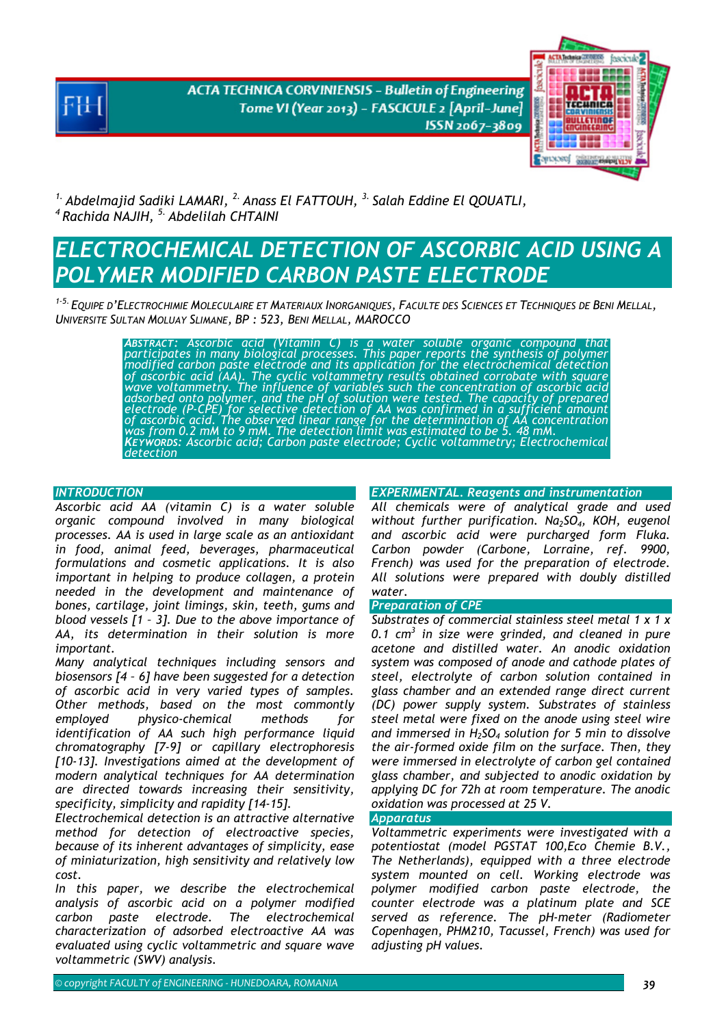**ACTA TECHNICA CORVINIENSIS - Bulletin of Engineering** Tome VI (Year 2013) - FASCICULE 2 [April-June] ISSN 2067-3809



<sup>1.</sup> Abdelmajid Sadiki LAMARI, <sup>2.</sup> Anass El FATTOUH, <sup>3.</sup> Salah Eddine El QOUATLI, *4 Rachida NAJIH, 5. Abdelilah CHTAINI* 

# *ELECTROCHEMICAL DETECTION OF ASCORBIC ACID USING A POLYMER MODIFIED CARBON PASTE ELECTRODE*

*1-5. EQUIPE D'ELECTROCHIMIE MOLECULAIRE ET MATERIAUX INORGANIQUES, FACULTE DES SCIENCES ET TECHNIQUES DE BENI MELLAL, UNIVERSITE SULTAN MOLUAY SLIMANE, BP : 523, BENI MELLAL, MAROCCO* 

> ABSTRACT: Ascorbic acid (Vitamin C) is a water soluble organic compound that<br>participates in many biological processes. This paper reports the synthesis of polymer<br>modified carbon paste electrode and its application for th *adsorbed onto polymer, and the pH of solution were tested. The capacity of prepared electrode (P-CPE) for selective detection of AA was confirmed in a sufficient amount of ascorbic acid. The observed linear range for the determination of AA concentration was from 0.2 mM to 9 mM. The detection limit was estimated to be 5. 48 mM. KEYWORDS: Ascorbic acid; Carbon paste electrode; Cyclic voltammetry; Electrochemical detection*

### *INTRODUCTION*

*Ascorbic acid AA (vitamin C) is a water soluble organic compound involved in many biological processes. AA is used in large scale as an antioxidant in food, animal feed, beverages, pharmaceutical formulations and cosmetic applications. It is also important in helping to produce collagen, a protein needed in the development and maintenance of bones, cartilage, joint limings, skin, teeth, gums and blood vessels [1 – 3]. Due to the above importance of AA, its determination in their solution is more important.* 

*Many analytical techniques including sensors and biosensors [4 – 6] have been suggested for a detection of ascorbic acid in very varied types of samples. Other methods, based on the most commontly employed physico-chemical methods for identification of AA such high performance liquid chromatography [7-9] or capillary electrophoresis [10-13]. Investigations aimed at the development of modern analytical techniques for AA determination are directed towards increasing their sensitivity, specificity, simplicity and rapidity [14-15].* 

*Electrochemical detection is an attractive alternative method for detection of electroactive species, because of its inherent advantages of simplicity, ease of miniaturization, high sensitivity and relatively low cost.* 

*In this paper, we describe the electrochemical analysis of ascorbic acid on a polymer modified carbon paste electrode. The electrochemical characterization of adsorbed electroactive AA was evaluated using cyclic voltammetric and square wave voltammetric (SWV) analysis.* 

## *EXPERIMENTAL. Reagents and instrumentation*

*All chemicals were of analytical grade and used*  without further purification. Na<sub>2</sub>SO<sub>4</sub>, KOH, eugenol *and ascorbic acid were purcharged form Fluka. Carbon powder (Carbone, Lorraine, ref. 9900, French) was used for the preparation of electrode. All solutions were prepared with doubly distilled water.* 

## *Preparation of CPE*

*Substrates of commercial stainless steel metal 1 x 1 x 0.1 cm3 in size were grinded, and cleaned in pure acetone and distilled water. An anodic oxidation system was composed of anode and cathode plates of steel, electrolyte of carbon solution contained in glass chamber and an extended range direct current (DC) power supply system. Substrates of stainless steel metal were fixed on the anode using steel wire and immersed in H2SO4 solution for 5 min to dissolve the air-formed oxide film on the surface. Then, they were immersed in electrolyte of carbon gel contained glass chamber, and subjected to anodic oxidation by applying DC for 72h at room temperature. The anodic oxidation was processed at 25 V.* 

#### *Apparatus*

*Voltammetric experiments were investigated with a potentiostat (model PGSTAT 100,Eco Chemie B.V., The Netherlands), equipped with a three electrode system mounted on cell. Working electrode was polymer modified carbon paste electrode, the counter electrode was a platinum plate and SCE served as reference. The pH-meter (Radiometer Copenhagen, PHM210, Tacussel, French) was used for adjusting pH values.*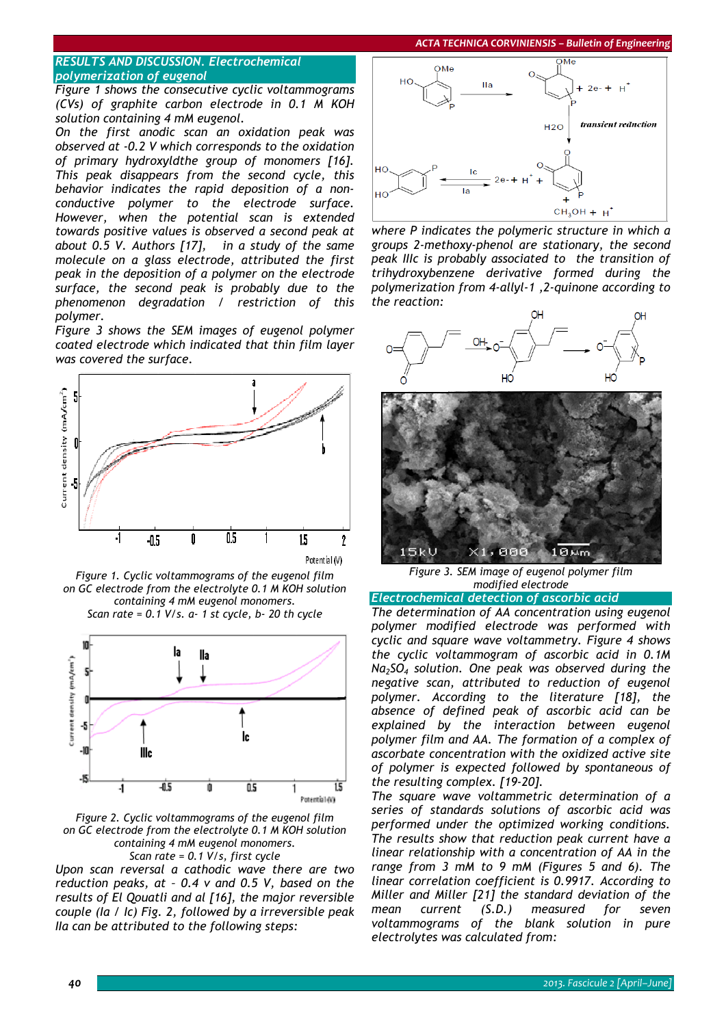*ACTA TECHNICA CORVINIENSIS – Bulletin of Engineering*

# *RESULTS AND DISCUSSION. Electrochemical polymerization of eugenol*

*Figure 1 shows the consecutive cyclic voltammograms (CVs) of graphite carbon electrode in 0.1 M KOH solution containing 4 mM eugenol.* 

*On the first anodic scan an oxidation peak was observed at -0.2 V which corresponds to the oxidation of primary hydroxyldthe group of monomers [16]. This peak disappears from the second cycle, this behavior indicates the rapid deposition of a nonconductive polymer to the electrode surface. However, when the potential scan is extended towards positive values is observed a second peak at about 0.5 V. Authors [17], in a study of the same molecule on a glass electrode, attributed the first peak in the deposition of a polymer on the electrode surface, the second peak is probably due to the phenomenon degradation / restriction of this polymer.* 

*Figure 3 shows the SEM images of eugenol polymer coated electrode which indicated that thin film layer was covered the surface.* 



*Figure 1. Cyclic voltammograms of the eugenol film on GC electrode from the electrolyte 0.1 M KOH solution containing 4 mM eugenol monomers. Scan rate = 0.1 V/s. a- 1 st cycle, b- 20 th cycle* 



*Figure 2. Cyclic voltammograms of the eugenol film on GC electrode from the electrolyte 0.1 M KOH solution containing 4 mM eugenol monomers. Scan rate = 0.1 V/s, first cycle* 

*Upon scan reversal a cathodic wave there are two reduction peaks, at – 0.4 v and 0.5 V, based on the results of El Qouatli and al [16], the major reversible couple (Ia / Ic) Fig. 2, followed by a irreversible peak IIa can be attributed to the following steps:* 



*where P indicates the polymeric structure in which a groups 2-methoxy-phenol are stationary, the second peak IIIc is probably associated to the transition of trihydroxybenzene derivative formed during the polymerization from 4-allyl-1 ,2-quinone according to the reaction:* 



 $5kU$  $, 1886$ **B**Mm *Figure 3. SEM image of eugenol polymer film* 

*modified electrode* 

*Electrochemical detection of ascorbic acid* 

*The determination of AA concentration using eugenol polymer modified electrode was performed with cyclic and square wave voltammetry. Figure 4 shows the cyclic voltammogram of ascorbic acid in 0.1M Na2SO4 solution. One peak was observed during the negative scan, attributed to reduction of eugenol polymer. According to the literature [18], the absence of defined peak of ascorbic acid can be explained by the interaction between eugenol polymer film and AA. The formation of a complex of ascorbate concentration with the oxidized active site of polymer is expected followed by spontaneous of the resulting complex. [19-20].* 

*The square wave voltammetric determination of a series of standards solutions of ascorbic acid was performed under the optimized working conditions. The results show that reduction peak current have a linear relationship with a concentration of AA in the range from 3 mM to 9 mM (Figures 5 and 6). The linear correlation coefficient is 0.9917. According to Miller and Miller [21] the standard deviation of the mean current (S.D.) measured for seven voltammograms of the blank solution in pure electrolytes was calculated from:*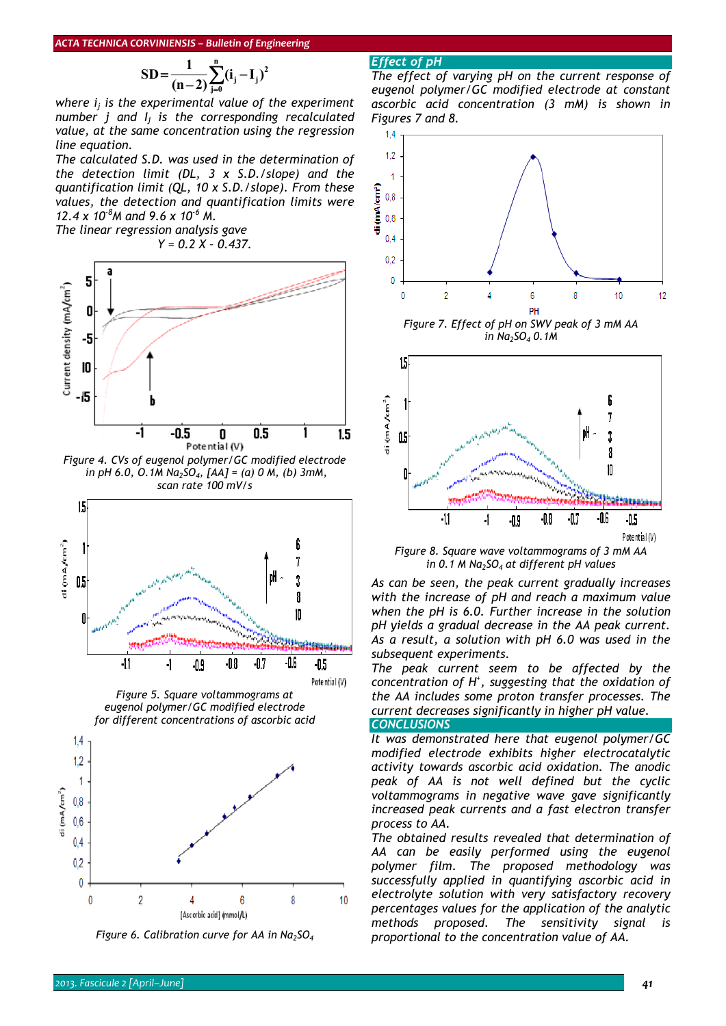$$
SD = \frac{1}{(n-2)} \sum_{j=0}^{n} (i_j - I_j)^2
$$

*where ij is the experimental value of the experiment number j and Ij is the corresponding recalculated value, at the same concentration using the regression line equation.* 

*The calculated S.D. was used in the determination of the detection limit (DL, 3 x S.D./slope) and the quantification limit (QL, 10 x S.D./slope). From these values, the detection and quantification limits were 12.4 x 10-8M and 9.6 x 10-6 M.* 

*The linear regression analysis gave Y = 0.2 X – 0.437.* 



*Figure 4. CVs of eugenol polymer/GC modified electrode in pH 6.0, O.1M Na2SO4, [AA] = (a) 0 M, (b) 3mM, scan rate 100 mV/s* 



*Figure 5. Square voltammograms at eugenol polymer/GC modified electrode for different concentrations of ascorbic acid* 





# *Effect of pH*

*The effect of varying pH on the current response of eugenol polymer/GC modified electrode at constant ascorbic acid concentration (3 mM) is shown in Figures 7 and 8.* 







*Figure 8. Square wave voltammograms of 3 mM AA in 0.1 M Na2SO4 at different pH values* 

*As can be seen, the peak current gradually increases with the increase of pH and reach a maximum value when the pH is 6.0. Further increase in the solution pH yields a gradual decrease in the AA peak current. As a result, a solution with pH 6.0 was used in the subsequent experiments.* 

*The peak current seem to be affected by the concentration of H+ , suggesting that the oxidation of the AA includes some proton transfer processes. The current decreases significantly in higher pH value. CONCLUSIONS* 

*It was demonstrated here that eugenol polymer/GC modified electrode exhibits higher electrocatalytic activity towards ascorbic acid oxidation. The anodic peak of AA is not well defined but the cyclic voltammograms in negative wave gave significantly increased peak currents and a fast electron transfer process to AA.* 

*The obtained results revealed that determination of AA can be easily performed using the eugenol polymer film. The proposed methodology was successfully applied in quantifying ascorbic acid in electrolyte solution with very satisfactory recovery percentages values for the application of the analytic methods proposed. The sensitivity signal is proportional to the concentration value of AA.*